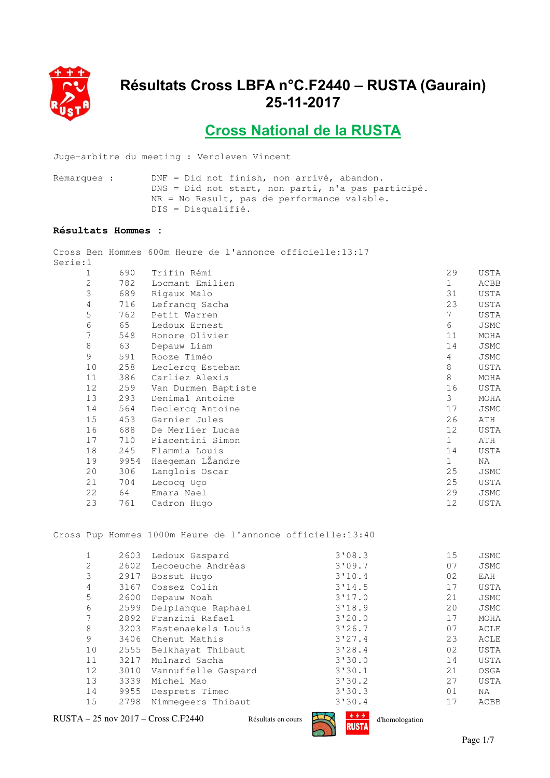

## **Résultats Cross LBFA n°C.F2440 – RUSTA (Gaurain) 25-11-2017**

**Cross National de la RUSTA**

Juge-arbitre du meeting : Vercleven Vincent

Remarques : DNF = Did not finish, non arrivé, abandon. DNS = Did not start, non parti, n'a pas participé. NR = No Result, pas de performance valable. DIS = Disqualifié.

## **Résultats Hommes :**

Cross Ben Hommes 600m Heure de l'annonce officielle:13:17

| Serie:1 |      |                     |              |      |
|---------|------|---------------------|--------------|------|
| 1       | 690  | Trifin Rémi         | 29           | USTA |
| 2       | 782  | Locmant Emilien     | $\mathbf{1}$ | ACBB |
| 3       | 689  | Rigaux Malo         | 31           | USTA |
| 4       | 716  | Lefrancq Sacha      | 23           | USTA |
| 5       | 762  | Petit Warren        | 7            | USTA |
| 6       | 65   | Ledoux Ernest       | 6            | JSMC |
| 7       | 548  | Honore Olivier      | 11           | MOHA |
| 8       | 63   | Depauw Liam         | 14           | JSMC |
| 9       | 591  | Rooze Timéo         | 4            | JSMC |
| 10      | 258  | Leclercq Esteban    | 8            | USTA |
| 11      | 386  | Carliez Alexis      | 8            | MOHA |
| 12      | 259  | Van Durmen Baptiste | 16           | USTA |
| 13      | 293  | Denimal Antoine     | 3            | MOHA |
| 14      | 564  | Declercq Antoine    | 17           | JSMC |
| 15      | 453  | Garnier Jules       | 26           | ATH  |
| 16      | 688  | De Merlier Lucas    | 12           | USTA |
| 17      | 710  | Piacentini Simon    | $\mathbf 1$  | ATH  |
| 18      | 245  | Flammia Louis       | 14           | USTA |
| 19      | 9954 | Haegeman LZandre    | $\mathbf{1}$ | NA   |
| 20      | 306  | Langlois Oscar      | 25           | JSMC |
| 21      | 704  | Lecocq Ugo          | 25           | USTA |
| 22      | 64   | Emara Nael          | 29           | JSMC |
| 23      | 761  | Cadron Hugo         | 12           | USTA |

Cross Pup Hommes 1000m Heure de l'annonce officielle:13:40

|    | 2603 | Ledoux Gaspard      | 3'08.3 | 15 | JSMC        |
|----|------|---------------------|--------|----|-------------|
| 2  | 2602 | Lecoeuche Andréas   | 3'09.7 | 07 | JSMC        |
| 3  | 2917 | Bossut Hugo         | 3'10.4 | 02 | EAH         |
| 4  | 3167 | Cossez Colin        | 3'14.5 | 17 | <b>USTA</b> |
| 5  | 2600 | Depauw Noah         | 3'17.0 | 21 | JSMC        |
| 6  | 2599 | Delplanque Raphael  | 3'18.9 | 20 | JSMC        |
|    | 2892 | Franzini Rafael     | 3'20.0 | 17 | MOHA        |
| 8  | 3203 | Fastenaekels Louis  | 3'26.7 | 07 | ACLE        |
| 9  | 3406 | Chenut Mathis       | 3'27.4 | 23 | ACLE        |
| 10 | 2555 | Belkhayat Thibaut   | 3'28.4 | 02 | <b>USTA</b> |
| 11 | 3217 | Mulnard Sacha       | 3'30.0 | 14 | <b>USTA</b> |
| 12 | 3010 | Vannuffelle Gaspard | 3'30.1 | 21 | OSGA        |
| 13 | 3339 | Michel Mao          | 3'30.2 | 27 | <b>USTA</b> |
| 14 | 9955 | Desprets Timeo      | 3'30.3 | 01 | NA.         |
| 15 | 2798 | Nimmegeers Thibaut  | 3'30.4 | 17 | ACBB        |
|    |      |                     |        |    |             |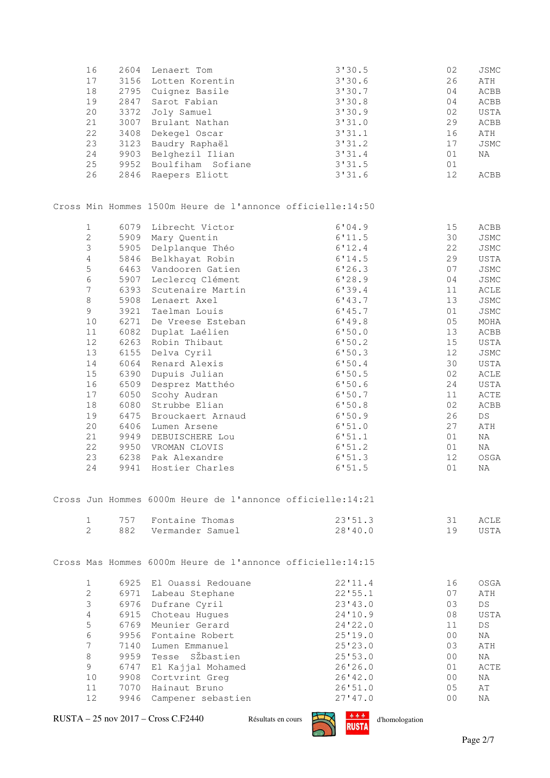| 16             | 2604 | Lenaert Tom                                                | 3'30.5  | 02             | JSMC                    |
|----------------|------|------------------------------------------------------------|---------|----------------|-------------------------|
| 17             | 3156 | Lotten Korentin                                            | 3'30.6  | 26             | ATH                     |
| $18\,$         | 2795 | Cuignez Basile                                             | 3'30.7  | 04             | ACBB                    |
| 19             | 2847 | Sarot Fabian                                               | 3'30.8  | 04             | ACBB                    |
| 20             | 3372 | Joly Samuel                                                | 3'30.9  | 02             | USTA                    |
| 21             | 3007 | Brulant Nathan                                             | 3'31.0  | 29             | ACBB                    |
| 22             | 3408 | Dekegel Oscar                                              | 3'31.1  | 16             | ATH                     |
| 23             | 3123 | Baudry Raphaël                                             | 3'31.2  | 17             | JSMC                    |
| 24             | 9903 | Belghezil Ilian                                            | 3'31.4  | 01             | $\rm NA$                |
| 25             | 9952 | Boulfiham Sofiane                                          | 3'31.5  | 01             |                         |
| 26             | 2846 | Raepers Eliott                                             | 3'31.6  | 12             | ACBB                    |
|                |      | Cross Min Hommes 1500m Heure de l'annonce officielle:14:50 |         |                |                         |
| $\mathbf{1}$   | 6079 | Librecht Victor                                            | 6'04.9  | 15             | ACBB                    |
| $\overline{c}$ | 5909 | Mary Quentin                                               | 6'11.5  | 30             | JSMC                    |
| 3              | 5905 | Delplanque Théo                                            | 6'12.4  | 22             | JSMC                    |
| 4              | 5846 | Belkhayat Robin                                            | 6'14.5  | 29             | USTA                    |
| 5              | 6463 | Vandooren Gatien                                           | 6'26.3  | 07             | JSMC                    |
| 6              | 5907 | Leclercq Clément                                           | 6'28.9  | 04             | JSMC                    |
| 7              | 6393 | Scutenaire Martin                                          | 6'39.4  | 11             | ACLE                    |
| $\,8\,$        | 5908 | Lenaert Axel                                               | 6'13.7  | 13             | JSMC                    |
| 9              | 3921 | Taelman Louis                                              | 6'145.7 | 01             | JSMC                    |
| 10             | 6271 | De Vreese Esteban                                          | 6'19.8  | 05             | MOHA                    |
| 11             | 6082 | Duplat Laélien                                             | 6'50.0  | 13             | ACBB                    |
| $12$           | 6263 | Robin Thibaut                                              | 6'50.2  | 15             | USTA                    |
| 13             | 6155 | Delva Cyril                                                | 6'50.3  | 12             | JSMC                    |
| 14             | 6064 | Renard Alexis                                              | 6'50.4  | 30             | USTA                    |
| $15$           | 6390 | Dupuis Julian                                              | 6'50.5  | 02             | ACLE                    |
| 16             | 6509 | Desprez Matthéo                                            | 6'50.6  | 24             | USTA                    |
| 17             | 6050 | Scohy Audran                                               | 6'50.7  | 11             | ACTE                    |
| $18\,$         | 6080 | Strubbe Elian                                              | 6'50.8  | 02             | ACBB                    |
| 19             | 6475 | Brouckaert Arnaud                                          | 6'50.9  | 26             | $\mathbb{D}\mathbb{S}$  |
| 20             | 6406 | Lumen Arsene                                               | 6'51.0  | 27             | $\mbox{ATH}$            |
| 21             | 9949 | DEBUISCHERE Lou                                            | 6!51.1  | 01             | ΝA                      |
| 22             | 9950 | VROMAN CLOVIS                                              | 6'51.2  | 01             | ΝA                      |
| 23             | 6238 | Pak Alexandre                                              | 6'51.3  | 12             | OSGA                    |
| 24             | 9941 | Hostier Charles                                            | 6'51.5  | 01             | ΝA                      |
|                |      | Cross Jun Hommes 6000m Heure de l'annonce officielle:14:21 |         |                |                         |
| $\mathbf{1}$   | 757  | Fontaine Thomas                                            | 23'51.3 | 31             | ACLE                    |
| $\overline{2}$ | 882  | Vermander Samuel                                           | 28'40.0 | 19             | USTA                    |
|                |      | Cross Mas Hommes 6000m Heure de l'annonce officielle:14:15 |         |                |                         |
| $\mathbf 1$    | 6925 | El Ouassi Redouane                                         | 22'11.4 | 16             | OSGA                    |
| $\mathbf{2}$   | 6971 | Labeau Stephane                                            | 22'55.1 | 07             | ATH                     |
| 3              | 6976 | Dufrane Cyril                                              | 23'43.0 | 03             | $\mathbb{D}\mathcal{S}$ |
| 4              | 6915 | Choteau Hugues                                             | 24'10.9 | 08             | USTA                    |
| 5              | 6769 | Meunier Gerard                                             | 24'22.0 | 11             | $DS$                    |
| 6              | 9956 | Fontaine Robert                                            | 25'19.0 | 00             | ΝA                      |
| 7              | 7140 | Lumen Emmanuel                                             | 25'23.0 | 03             | ATH                     |
| 8              | 9959 | Tesse SŽbastien                                            | 25'53.0 | 0 <sub>0</sub> | ΝA                      |
| 9              | 6747 | El Kajjal Mohamed                                          | 26'26.0 | 01             | ACTE                    |
| 10             | 9908 | Cortvrint Greg                                             | 26'42.0 | 00             | ΝA                      |
| 11             | 7070 | Hainaut Bruno                                              | 26'51.0 | 0 <sub>5</sub> | AΤ                      |
| 12             | 9946 | Campener sebastien                                         | 27'47.0 | 00             | NA                      |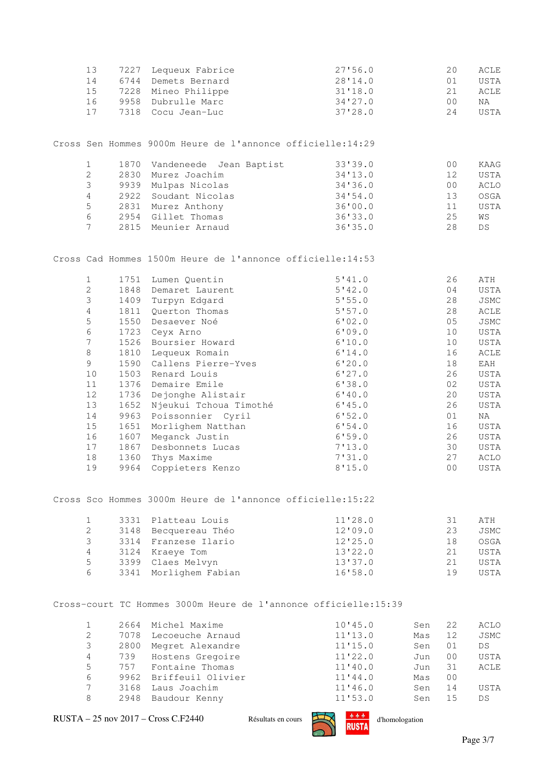| 13<br>14<br>15<br>16<br>17 | 7227<br>6744<br>7228<br>9958<br>7318 | Lequeux Fabrice<br>Demets Bernard<br>Mineo Philippe<br>Dubrulle Marc<br>Cocu Jean-Luc | 27'56.0<br>28'14.0<br>31'18.0<br>34'27.0<br>37'28.0 |     | 20<br>01<br>21<br>0 <sub>0</sub><br>24 | ACLE<br>USTA<br>ACLE<br>NA<br>USTA |
|----------------------------|--------------------------------------|---------------------------------------------------------------------------------------|-----------------------------------------------------|-----|----------------------------------------|------------------------------------|
|                            |                                      | Cross Sen Hommes 9000m Heure de l'annonce officielle:14:29                            |                                                     |     |                                        |                                    |
|                            |                                      |                                                                                       |                                                     |     |                                        |                                    |
| $\mathbf{1}$               | 1870                                 | Jean Baptist<br>Vandeneede                                                            | 33'39.0                                             |     | 00                                     | KAAG                               |
| $\mathbf{2}$               | 2830                                 | Murez Joachim                                                                         | 34'13.0                                             |     | 12                                     | USTA                               |
| 3                          | 9939                                 | Mulpas Nicolas                                                                        | 34'36.0                                             |     | 00                                     | ACLO                               |
| $\overline{4}$             | 2922                                 | Soudant Nicolas                                                                       | 34'54.0                                             |     | 13                                     | OSGA                               |
| 5                          | 2831                                 | Murez Anthony                                                                         | 36'00.0                                             |     | 11                                     | USTA                               |
| 6<br>$\overline{7}$        | 2954<br>2815                         | Gillet Thomas<br>Meunier Arnaud                                                       | 36'33.0<br>36'35.0                                  |     | 25<br>28                               | WS<br>$\mathbb{D}\mathbb{S}$       |
|                            |                                      | Cross Cad Hommes 1500m Heure de l'annonce officielle:14:53                            |                                                     |     |                                        |                                    |
| $\mathbf{1}$               | 1751                                 | Lumen Quentin                                                                         | 5'41.0                                              |     | 26                                     | ATH                                |
| $\overline{c}$             | 1848                                 | Demaret Laurent                                                                       | 5'42.0                                              |     | 04                                     | USTA                               |
| 3                          | 1409                                 | Turpyn Edgard                                                                         | 5'55.0                                              |     | 28                                     | JSMC                               |
| 4                          | 1811                                 | Querton Thomas                                                                        | 5'57.0                                              |     | 28                                     | ACLE                               |
| 5                          | 1550                                 | Desaever Noé                                                                          | 6'02.0                                              |     | 05                                     | JSMC                               |
| 6                          | 1723                                 | Ceyx Arno                                                                             | 6'09.0                                              |     | 10                                     | USTA                               |
| 7                          | 1526                                 | Boursier Howard                                                                       | 6'10.0                                              |     | 10                                     | USTA                               |
| $\,8\,$                    | 1810                                 | Lequeux Romain                                                                        | 6'14.0                                              |     | 16                                     | ACLE                               |
| 9                          | 1590                                 | Callens Pierre-Yves                                                                   | 6'20.0                                              |     | 18                                     | EAH                                |
| 10                         | 1503                                 | Renard Louis                                                                          | 6'27.0                                              |     | 26                                     | USTA                               |
| 11                         | 1376                                 | Demaire Emile                                                                         | 6'38.0                                              |     | 02                                     | USTA                               |
| 12                         | 1736                                 | Dejonghe Alistair                                                                     | 6'40.0                                              |     | 20                                     | USTA                               |
| 13                         | 1652                                 |                                                                                       |                                                     |     | 26                                     |                                    |
|                            |                                      | Njeukui Tchoua Timothé                                                                | 6'45.0                                              |     | 01                                     | USTA                               |
| 14                         | 9963                                 | Poissonnier Cyril                                                                     | 6'52.0                                              |     |                                        | ΝA                                 |
| $15\,$                     | 1651                                 | Morlighem Natthan                                                                     | 6'54.0                                              |     | 16                                     | USTA                               |
| 16                         | 1607                                 | Meganck Justin                                                                        | 6'59.0                                              |     | 26                                     | USTA                               |
| 17                         | 1867                                 | Desbonnets Lucas                                                                      | 7'13.0                                              |     | 30                                     | USTA                               |
| 18                         | 1360                                 | Thys Maxime                                                                           | 7'31.0                                              |     | 27                                     | ACLO                               |
| 19                         | 9964                                 | Coppieters Kenzo                                                                      | 8'15.0                                              |     | 00                                     | USTA                               |
|                            |                                      | Cross Sco Hommes 3000m Heure de l'annonce officielle:15:22                            |                                                     |     |                                        |                                    |
| $\mathbf{1}$               | 3331                                 | Platteau Louis                                                                        | 11'28.0                                             |     | 31                                     | ATH                                |
| $\mathbf{2}$               | 3148                                 | Becquereau Théo                                                                       | 12'09.0                                             |     | 23                                     | JSMC                               |
| 3                          | 3314                                 | Franzese Ilario                                                                       | 12'25.0                                             |     | 18                                     | OSGA                               |
| 4                          | 3124                                 | Kraeye Tom                                                                            | 13'22.0                                             |     | 21                                     | USTA                               |
| 5                          | 3399                                 | Claes Melvyn                                                                          | 13'37.0                                             |     | 21                                     | USTA                               |
| 6                          | 3341                                 | Morlighem Fabian                                                                      | 16'58.0                                             |     | 19                                     | USTA                               |
|                            |                                      | Cross-court TC Hommes 3000m Heure de l'annonce officielle:15:39                       |                                                     |     |                                        |                                    |
|                            | 2664                                 | Michel Maxime                                                                         | 10'15.0                                             |     |                                        |                                    |
| $\mathbf{1}$               |                                      |                                                                                       |                                                     | Sen | 22                                     | ACLO                               |
| $\overline{2}$             | 7078                                 | Lecoeuche Arnaud                                                                      | 11'13.0                                             | Mas | 12                                     | JSMC                               |
| 3                          | 2800                                 | Megret Alexandre                                                                      | 11'15.0                                             | Sen | 01                                     | DS                                 |
| 4                          | 739                                  | Hostens Gregoire                                                                      | 11'22.0                                             | Jun | 00                                     | USTA                               |
| 5                          | 757                                  | Fontaine Thomas                                                                       | 11'40.0                                             | Jun | 31                                     | ACLE                               |

 $RUSTA - 25$  nov 2017 – Cross C.F2440 Résultats en cours  $RUSTA$  d'homologation

 7 3168 Laus Joachim 11'46.0 Sen 14 USTA 8 2948 Baudour Kenny 11'53.0 Sen 15 DS

6 9962 Briffeuil Olivier 11'44.0 Mas 00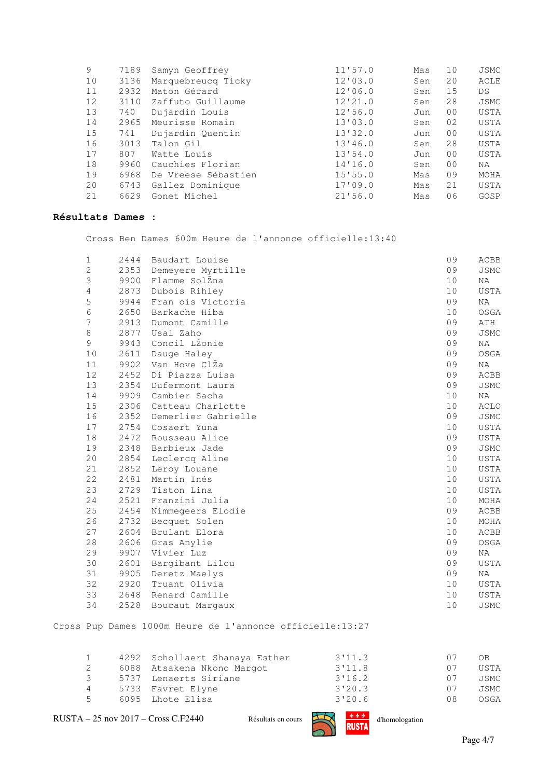| 9  | 7189 | Samyn Geoffrey      | 11'57.0 | Mas | 10             | JSMC        |
|----|------|---------------------|---------|-----|----------------|-------------|
| 10 | 3136 | Marquebreucq Ticky  | 12'03.0 | Sen | 20             | ACLE        |
| 11 | 2932 | Maton Gérard        | 12'06.0 | Sen | 15             | DS          |
| 12 | 3110 | Zaffuto Guillaume   | 12'21.0 | Sen | 28             | <b>JSMC</b> |
| 13 | 740  | Dujardin Louis      | 12'56.0 | Jun | 0 <sup>0</sup> | USTA        |
| 14 | 2965 | Meurisse Romain     | 13'03.0 | Sen | 02             | USTA        |
| 15 | 741  | Dujardin Quentin    | 13'32.0 | Jun | 0 <sup>0</sup> | USTA        |
| 16 | 3013 | Talon Gil           | 13'46.0 | Sen | 28             | USTA        |
| 17 | 807  | Watte Louis         | 13'54.0 | Jun | 0 <sup>0</sup> | USTA        |
| 18 | 9960 | Cauchies Florian    | 14'16.0 | Sen | 0 <sup>0</sup> | NA          |
| 19 | 6968 | De Vreese Sébastien | 15'55.0 | Mas | 09             | MOHA        |
| 20 | 6743 | Gallez Dominique    | 17'09.0 | Mas | 21             | USTA        |
| 21 | 6629 | Gonet Michel        | 21'56.0 | Mas | 06             | GOSP        |
|    |      |                     |         |     |                |             |

## **Résultats Dames :**

Cross Ben Dames 600m Heure de l'annonce officielle:13:40

| $\mathbf{1}$ | 2444 | Baudart Louise             | 09 | ACBB        |
|--------------|------|----------------------------|----|-------------|
| 2            | 2353 | Demeyere Myrtille          | 09 | JSMC        |
| 3            | 9900 | Flamme SolŽna              | 10 | NA          |
| 4            | 2873 | Dubois Rihley              | 10 | USTA        |
| 5            | 9944 | Fran ois Victoria          | 09 | ΝA          |
| 6            | 2650 | Barkache Hiba              | 10 | OSGA        |
| 7            | 2913 | Dumont Camille             | 09 | ATH         |
| 8            | 2877 | Usal Zaho                  | 09 | <b>JSMC</b> |
| 9            | 9943 | Concil L <sub>2</sub> onie | 09 | NA          |
| $10$         | 2611 | Dauge Haley                | 09 | OSGA        |
| 11           | 9902 | Van Hove ClŽa              | 09 | NA          |
| 12           | 2452 | Di Piazza Luisa            | 09 | ACBB        |
| 13           | 2354 | Dufermont Laura            | 09 | JSMC        |
| 14           | 9909 | Cambier Sacha              | 10 | ΝA          |
| 15           | 2306 | Catteau Charlotte          | 10 | ACLO        |
| 16           | 2352 | Demerlier Gabrielle        | 09 | JSMC        |
| 17           | 2754 | Cosaert Yuna               | 10 | USTA        |
| 18           | 2472 | Rousseau Alice             | 09 | USTA        |
| 19           | 2348 | Barbieux Jade              | 09 | JSMC        |
| 20           | 2854 | Leclercq Aline             | 10 | USTA        |
| 21           | 2852 | Leroy Louane               | 10 | USTA        |
| 22           | 2481 | Martin Inés                | 10 | USTA        |
| 23           | 2729 | Tiston Lina                | 10 | USTA        |
| 24           | 2521 | Franzini Julia             | 10 | MOHA        |
| 25           | 2454 | Nimmegeers Elodie          | 09 | ACBB        |
| 26           | 2732 | Becquet Solen              | 10 | MOHA        |
| 27           | 2604 | Brulant Elora              | 10 | ACBB        |
| 28           | 2606 | Gras Anylie                | 09 | OSGA        |
| 29           | 9907 | Vivier Luz                 | 09 | NA          |
| 30           | 2601 | Bargibant Lilou            | 09 | USTA        |
| 31           | 9905 | Deretz Maelys              | 09 | NA          |
| 32           | 2920 | Truant Olivia              | 10 | USTA        |
| 33           | 2648 | Renard Camille             | 10 | USTA        |
| 34           | 2528 | Boucaut Margaux            | 10 | JSMC        |
|              |      |                            |    |             |

Cross Pup Dames 1000m Heure de l'annonce officielle:13:27

|               | 4292 Schollaert Shanaya Esther | 3'11.3 | 07 | 0B.  |
|---------------|--------------------------------|--------|----|------|
|               | 6088 Atsakena Nkono Margot     | 3'11.8 | 07 | USTA |
| $\mathcal{B}$ | 5737 Lenaerts Siriane          | 3'16.2 | 07 | JSMC |
| 4             | 5733 Favret Elyne              | 3'20.3 | 07 | JSMC |
| $5 -$         | 6095 Lhote Elisa               | 3'20.6 | 08 | OSGA |
|               |                                |        |    |      |

 $\text{RUSTA} - 25 \text{ nov } 2017 - \text{Cross C.F2440}$  Résultats en cours  $\text{RISIA}$  d'homologation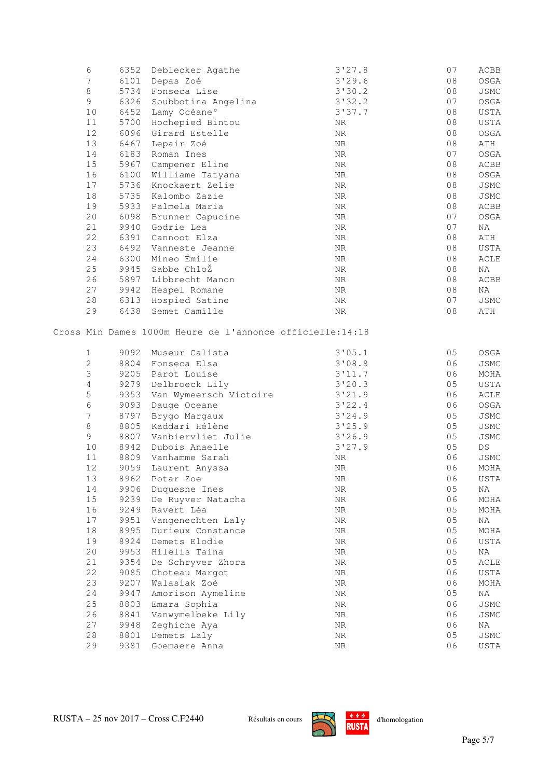| 6              | 6352 | Deblecker Agathe                                                                 | 3'27.8     | 07             | ACBB                   |
|----------------|------|----------------------------------------------------------------------------------|------------|----------------|------------------------|
| $\overline{7}$ | 6101 | Depas Zoé                                                                        | 3'29.6     | 08             | OSGA                   |
| $\,8\,$        | 5734 | Fonseca Lise                                                                     | 3'30.2     | 08             | JSMC                   |
| 9              | 6326 | Soubbotina Angelina                                                              | 3'32.2     | 07             | OSGA                   |
| 10             | 6452 | Lamy Océane°                                                                     | 3'37.7     | 08             | USTA                   |
| 11             | 5700 | Hochepied Bintou                                                                 | ΝR         | 08             | USTA                   |
| 12             | 6096 | Girard Estelle                                                                   | ${\rm NR}$ | 08             | OSGA                   |
| 13             | 6467 | Lepair Zoé                                                                       | ${\rm NR}$ | 08             | ATH                    |
| 14             | 6183 | Roman Ines                                                                       | ${\rm NR}$ | 07             | OSGA                   |
| 15             | 5967 | Campener Eline                                                                   | ${\rm NR}$ | 08             | ACBB                   |
| 16             | 6100 | Williame Tatyana                                                                 | ${\rm NR}$ | 08             | OSGA                   |
| 17             | 5736 | Knockaert Zelie                                                                  | ${\rm NR}$ | 08             | JSMC                   |
| $18\,$         | 5735 | Kalombo Zazie                                                                    | ${\rm NR}$ | 08             | JSMC                   |
| 19             | 5933 | Palmela Maria                                                                    | ΝR         | 08             | ACBB                   |
| 20             | 6098 | Brunner Capucine                                                                 | ${\rm NR}$ | 07             | OSGA                   |
| 21             | 9940 | Godrie Lea                                                                       | ${\rm NR}$ | 07             | ΝA                     |
| 22             | 6391 | Cannoot Elza                                                                     | ${\rm NR}$ | 08             | $\mbox{ATH}$           |
| 23             | 6492 | Vanneste Jeanne                                                                  | ${\rm NR}$ | 08             | USTA                   |
| 24             | 6300 | Mineo Émilie                                                                     | ${\rm NR}$ | 08             | $\verb ACLE $          |
| 25             | 9945 | Sabbe ChloŽ                                                                      | ${\rm NR}$ | 08             | ΝA                     |
| 26             | 5897 | Libbrecht Manon                                                                  | ${\rm NR}$ | 08             | ACBB                   |
| 27             | 9942 | Hespel Romane                                                                    | ${\rm NR}$ | 08             | ΝA                     |
| 28             | 6313 | Hospied Satine                                                                   | ΝR         | 07             | JSMC                   |
| 29             | 6438 | Semet Camille                                                                    | ${\rm NR}$ | 08             | ATH                    |
| $\mathbf{1}$   |      | Cross Min Dames 1000m Heure de l'annonce officielle:14:18<br>9092 Museur Calista | 3'05.1     | 05             | OSGA                   |
| $\overline{c}$ | 8804 | Fonseca Elsa                                                                     | 3'08.8     | 06             | JSMC                   |
| 3              | 9205 | Parot Louise                                                                     | 3'11.7     | 06             | MOHA                   |
| 4              | 9279 | Delbroeck Lily                                                                   | 3'20.3     | 05             | USTA                   |
| 5              | 9353 | Van Wymeersch Victoire                                                           | 3'21.9     | 06             | ACLE                   |
| 6              | 9093 | Dauge Oceane                                                                     | 3'22.4     | 06             | OSGA                   |
| $\overline{7}$ | 8797 | Brygo Margaux                                                                    | 3'24.9     | 05             | JSMC                   |
| $\,8\,$        | 8805 | Kaddari Hélène                                                                   | 3'25.9     | 05             | JSMC                   |
| 9              | 8807 | Vanbiervliet Julie                                                               | 3'26.9     | 05             | JSMC                   |
| $10$           | 8942 | Dubois Anaelle                                                                   | 3'27.9     | 05             | $\mathbb{D}\mathbb{S}$ |
| 11             | 8809 | Vanhamme Sarah                                                                   | ${\rm NR}$ | 06             | JSMC                   |
| 12             | 9059 | Laurent Anyssa                                                                   | ${\rm NR}$ | 06             | MOHA                   |
| 13             |      | 8962 Potar Zoe                                                                   | ${\rm NR}$ | 06             | USTA                   |
| 14             | 9906 | Duquesne Ines                                                                    | NR         | 0 <sub>5</sub> | ΝA                     |
| 15             | 9239 | De Ruyver Natacha                                                                | NR         | 06             | $\rm MOHA$             |
| 16             | 9249 | Ravert Léa                                                                       | ${\rm NR}$ | 05             | MOHA                   |
| 17             | 9951 | Vangenechten Laly                                                                | ΝR         | 05             | ΝA                     |
| $1\,8$         | 8995 | Durieux Constance                                                                | ${\rm NR}$ | 05             | MOHA                   |
| 19             | 8924 | Demets Elodie                                                                    | ${\rm NR}$ | 06             | USTA                   |
| 20             | 9953 | Hilelis Taina                                                                    | ${\rm NR}$ | 05             | ΝA                     |
| 21             | 9354 | De Schryver Zhora                                                                | NR         | 0 <sub>5</sub> | ACLE                   |
| 22             | 9085 | Choteau Margot                                                                   | NR         | 06             | USTA                   |
| 23             | 9207 | Walasiak Zoé                                                                     | NR         | 06             | MOHA                   |
| 24             | 9947 | Amorison Aymeline                                                                | NR         | 0 <sub>5</sub> | ΝA                     |
| 25             | 8803 | Emara Sophia                                                                     | ${\rm NR}$ | 06             | JSMC                   |
| 26             | 8841 | Vanwymelbeke Lily                                                                | NR         | 06             | JSMC                   |
| 27             | 9948 | Zeghiche Aya                                                                     | ${\rm NR}$ | 06             | ΝA                     |
| 28             | 8801 | Demets Laly                                                                      | NR         | 0 <sub>5</sub> | JSMC                   |
| 29             | 9381 | Goemaere Anna                                                                    | ${\rm NR}$ | 06             | USTA                   |

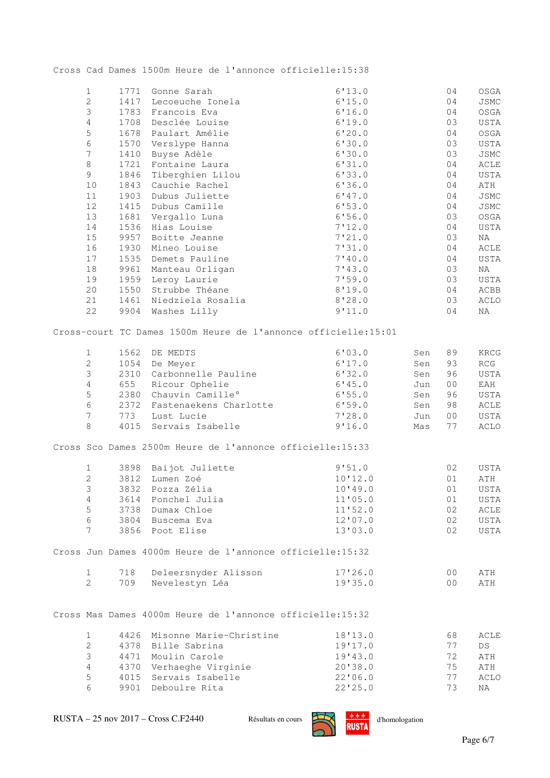Cross Cad Dames 1500m Heure de l'annonce officielle:15:38

| $\mathbf{1}$   | 1771 | Gonne Sarah                                                     | 6'13.0  |     | 04             | OSGA         |
|----------------|------|-----------------------------------------------------------------|---------|-----|----------------|--------------|
| $\overline{c}$ | 1417 | Lecoeuche Ionela                                                | 6'15.0  |     | 04             | JSMC         |
| 3              | 1783 | Francois Eva                                                    | 6'16.0  |     | 04             | OSGA         |
| $\overline{4}$ | 1708 | Desclée Louise                                                  | 6'19.0  |     | 03             | USTA         |
| 5              | 1678 | Paulart Amélie                                                  | 6'20.0  |     | 04             | OSGA         |
| 6              | 1570 | Verslype Hanna                                                  | 6'30.0  |     | 03             | USTA         |
| $\overline{7}$ | 1410 | Buyse Adèle                                                     | 6'30.0  |     | 03             | JSMC         |
| $8\,$          | 1721 | Fontaine Laura                                                  | 6'31.0  |     | 04             | ACLE         |
| 9              | 1846 | Tiberghien Lilou                                                | 6'33.0  |     | 04             | USTA         |
| $10$           | 1843 | Cauchie Rachel                                                  | 6'36.0  |     | 04             | ATH          |
| 11             | 1903 | Dubus Juliette                                                  | 6'47.0  |     | 04             | JSMC         |
| 12             | 1415 | Dubus Camille                                                   | 6'53.0  |     | 04             | JSMC         |
| 13             | 1681 |                                                                 | 6'56.0  |     | 03             |              |
| 14             | 1536 | Vergallo Luna<br>Hias Louise                                    | 7'12.0  |     | 04             | OSGA<br>USTA |
| 15             | 9957 | Boitte Jeanne                                                   | 7'21.0  |     | 03             |              |
| 16             | 1930 |                                                                 |         |     | 04             | ΝA           |
| 17             | 1535 | Mineo Louise                                                    | 7'31.0  |     | 04             | ACLE         |
|                |      | Demets Pauline                                                  | 7'40.0  |     |                | USTA         |
| 18             | 9961 | Manteau Orligan                                                 | 7'43.0  |     | 03             | ΝA           |
| 19             | 1959 | Leroy Laurie                                                    | 7'59.0  |     | 03             | USTA         |
| 20             | 1550 | Strubbe Théane                                                  | 8'19.0  |     | 04             | ACBB         |
| 21             | 1461 | Niedziela Rosalia                                               | 8'28.0  |     | 03             | ACLO         |
| 22             | 9904 | Washes Lilly                                                    | 9'11.0  |     | 04             | ΝA           |
|                |      | Cross-court TC Dames 1500m Heure de l'annonce officielle: 15:01 |         |     |                |              |
| $1\,$          | 1562 | DE MEDTS                                                        | 6'03.0  | Sen | 89             | KRCG         |
| $\overline{c}$ | 1054 | De Meyer                                                        | 6'17.0  | Sen | 93             | RCG          |
| 3              |      | 2310 Carbonnelle Pauline                                        | 6'32.0  | Sen | 96             | USTA         |
| $\sqrt{4}$     | 655  | Ricour Ophelie                                                  | 6'45.0  | Jun | 0 <sub>0</sub> | EAH          |
| 5              | 2380 | Chauvin Camille°                                                | 6'55.0  | Sen | 96             | USTA         |
| 6              | 2372 |                                                                 |         |     |                | ACLE         |
|                |      | Fastenaekens Charlotte                                          | 6'59.0  | Sen | 98             |              |
| $\overline{7}$ | 773  | Lust Lucie                                                      | 7'28.0  | Jun | 0 <sub>0</sub> | USTA         |
| 8              | 4015 | Servais Isabelle                                                | 9'16.0  | Mas | 77             | ACLO         |
|                |      | Cross Sco Dames 2500m Heure de l'annonce officielle:15:33       |         |     |                |              |
| $\mathbf{1}$   |      | 3898 Baijot Juliette                                            | 9'51.0  |     | 02             | USTA         |
| $\overline{c}$ | 3812 | Lumen Zoé                                                       | 10'12.0 |     | 01             | ATH          |
| 3              | 3832 | Pozza Zélia                                                     | 10'19.0 |     | 01             | USTA         |
| 4              | 3614 | Ponchel Julia                                                   | 11'05.0 |     | $0\,1$         | USTA         |
| 5              | 3738 | Dumax Chloe                                                     | 11'52.0 |     | 02             | ACLE         |
| 6              | 3804 | Buscema Eva                                                     | 12'07.0 |     | 02             | USTA         |
| $\overline{7}$ |      | 3856 Poot Elise                                                 | 13'03.0 |     | 02             | USTA         |
|                |      | Cross Jun Dames 4000m Heure de l'annonce officielle: 15:32      |         |     |                |              |
| $\mathbf{1}$   | 718  | Deleersnyder Alisson                                            | 17'26.0 |     | 0 <sub>0</sub> | ATH          |
| $\overline{2}$ | 709  | Nevelestyn Léa                                                  | 19'35.0 |     | 0 <sub>0</sub> | ATH          |
|                |      |                                                                 |         |     |                |              |
|                |      | Cross Mas Dames 4000m Heure de l'annonce officielle: 15:32      |         |     |                |              |
| $\mathbf{1}$   | 4426 | Misonne Marie-Christine                                         | 18'13.0 |     | 68             | ACLE         |
| 2              | 4378 | Bille Sabrina                                                   | 19'17.0 |     | 77             | DS           |
| 3              | 4471 | Moulin Carole                                                   | 19'43.0 |     | 72             | ATH          |
| 4              |      | 4370 Verhaeghe Virginie                                         | 20'38.0 |     | 75             | ATH          |
| 5              | 4015 | Servais Isabelle                                                | 22'06.0 |     | 77             | <b>ACLO</b>  |
| 6              | 9901 | Deboulre Rita                                                   | 22'25.0 |     | 73             | ΝA           |

6 9901 Deboulre Rita 22'25.0 73 NA